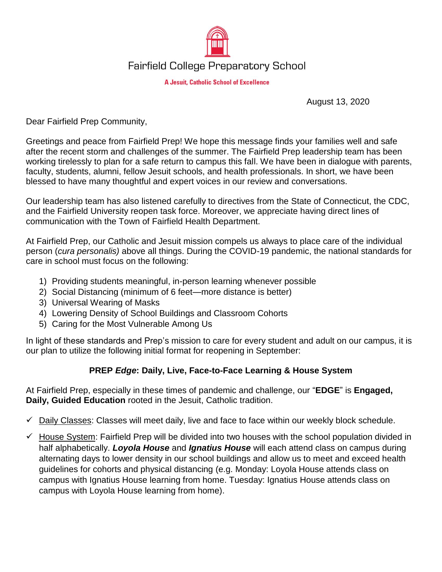

## **Fairfield College Preparatory School**

**A Jesuit, Catholic School of Excellence** 

August 13, 2020

Dear Fairfield Prep Community,

Greetings and peace from Fairfield Prep! We hope this message finds your families well and safe after the recent storm and challenges of the summer. The Fairfield Prep leadership team has been working tirelessly to plan for a safe return to campus this fall. We have been in dialogue with parents, faculty, students, alumni, fellow Jesuit schools, and health professionals. In short, we have been blessed to have many thoughtful and expert voices in our review and conversations.

Our leadership team has also listened carefully to directives from the State of Connecticut, the CDC, and the Fairfield University reopen task force. Moreover, we appreciate having direct lines of communication with the Town of Fairfield Health Department.

At Fairfield Prep, our Catholic and Jesuit mission compels us always to place care of the individual person (*cura personalis)* above all things. During the COVID-19 pandemic, the national standards for care in school must focus on the following:

- 1) Providing students meaningful, in-person learning whenever possible
- 2) Social Distancing (minimum of 6 feet—more distance is better)
- 3) Universal Wearing of Masks
- 4) Lowering Density of School Buildings and Classroom Cohorts
- 5) Caring for the Most Vulnerable Among Us

In light of these standards and Prep's mission to care for every student and adult on our campus, it is our plan to utilize the following initial format for reopening in September:

## **PREP** *Edge***: Daily, Live, Face-to-Face Learning & House System**

At Fairfield Prep, especially in these times of pandemic and challenge, our "**EDGE**" is **Engaged, Daily, Guided Education** rooted in the Jesuit, Catholic tradition.

- $\checkmark$  Daily Classes: Classes will meet daily, live and face to face within our weekly block schedule.
- $\checkmark$  House System: Fairfield Prep will be divided into two houses with the school population divided in half alphabetically. *Loyola House* and *Ignatius House* will each attend class on campus during alternating days to lower density in our school buildings and allow us to meet and exceed health guidelines for cohorts and physical distancing (e.g. Monday: Loyola House attends class on campus with Ignatius House learning from home. Tuesday: Ignatius House attends class on campus with Loyola House learning from home).